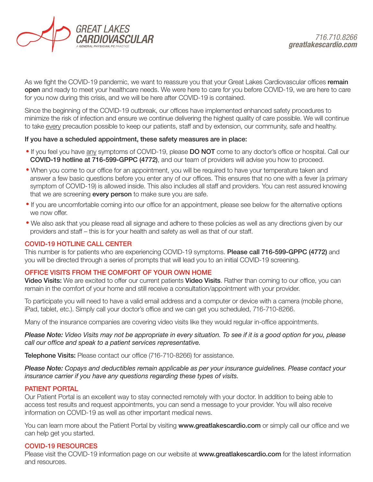

As we fight the COVID-19 pandemic, we want to reassure you that your Great Lakes Cardiovascular offices remain open and ready to meet your healthcare needs. We were here to care for you before COVID-19, we are here to care for you now during this crisis, and we will be here after COVID-19 is contained.

Since the beginning of the COVID-19 outbreak, our offices have implemented enhanced safety procedures to minimize the risk of infection and ensure we continue delivering the highest quality of care possible. We will continue to take every precaution possible to keep our patients, staff and by extension, our community, safe and healthy.

### If you have a scheduled appointment, these safety measures are in place:

- If you feel you have any symptoms of COVID-19, please DO NOT come to any doctor's office or hospital. Call our COVID-19 hotline at 716-599-GPPC (4772), and our team of providers will advise you how to proceed.
- When you come to our office for an appointment, you will be required to have your temperature taken and answer a few basic questions before you enter any of our offices. This ensures that no one with a fever (a primary symptom of COVID-19) is allowed inside. This also includes all staff and providers. You can rest assured knowing that we are screening **every person** to make sure you are safe.
- If you are uncomfortable coming into our office for an appointment, please see below for the alternative options we now offer.
- We also ask that you please read all signage and adhere to these policies as well as any directions given by our providers and staff – this is for your health and safety as well as that of our staff.

## COVID-19 HOTLINE CALL CENTER

This number is for patients who are experiencing COVID-19 symptoms. Please call 716-599-GPPC (4772) and you will be directed through a series of prompts that will lead you to an initial COVID-19 screening.

## OFFICE VISITS FROM THE COMFORT OF YOUR OWN HOME

Video Visits: We are excited to offer our current patients Video Visits. Rather than coming to our office, you can remain in the comfort of your home and still receive a consultation/appointment with your provider.

To participate you will need to have a valid email address and a computer or device with a camera (mobile phone, iPad, tablet, etc.). Simply call your doctor's office and we can get you scheduled, 716-710-8266.

Many of the insurance companies are covering video visits like they would regular in-office appointments.

*Please Note: Video Visits may not be appropriate in every situation. To see if it is a good option for you, please call our office and speak to a patient services representative.*

Telephone Visits: Please contact our office (716-710-8266) for assistance.

*Please Note: Copays and deductibles remain applicable as per your insurance guidelines. Please contact your insurance carrier if you have any questions regarding these types of visits.* 

#### PATIENT PORTAL

Our Patient Portal is an excellent way to stay connected remotely with your doctor. In addition to being able to access test results and request appointments, you can send a message to your provider. You will also receive information on COVID-19 as well as other important medical news.

You can learn more about the Patient Portal by visiting www.greatlakescardio.com or simply call our office and we can help get you started.

#### COVID-19 RESOURCES

Please visit the COVID-19 information page on our website at www.greatlakescardio.com for the latest information and resources.